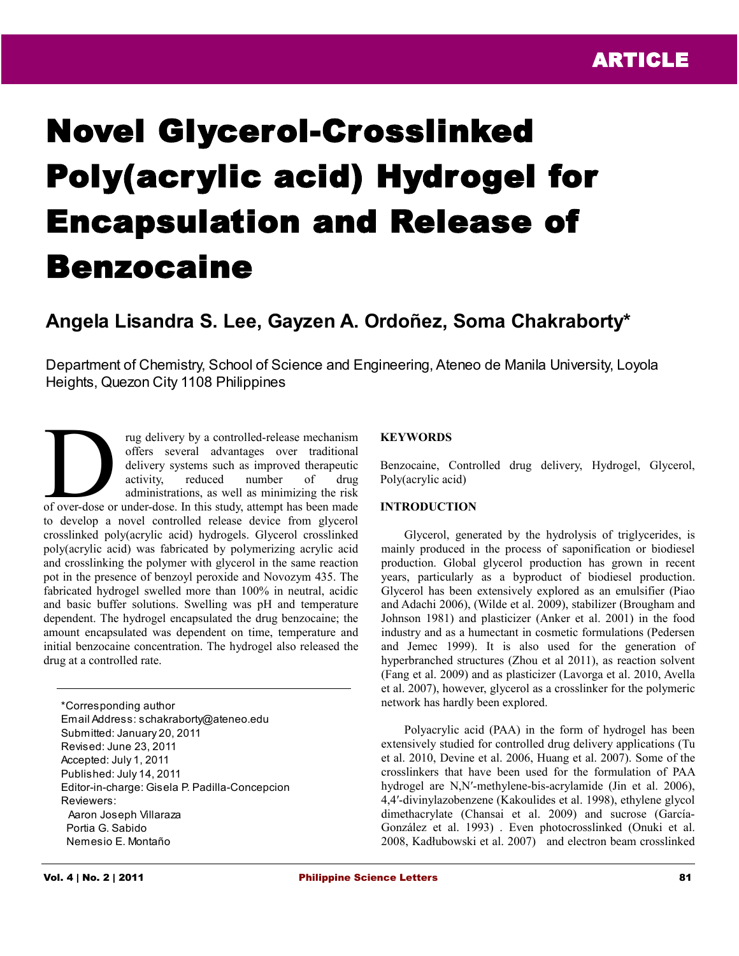# Novel Glycerol-Crosslinked Poly(acrylic acid) Hydrogel for Encapsulation and Release of Benzocaine

# **Angela Lisandra S. Lee, Gayzen A. Ordoñez, Soma Chakraborty\***

Department of Chemistry, School of Science and Engineering, Ateneo de Manila University, Loyola Heights, Quezon City 1108 Philippines

rug delivery by a controlled-release mechanism offers several advantages over traditional delivery systems such as improved therapeutic activity, reduced number of drug administrations, as well as minimizing the risk rug delivery by a controlled-release mechanism<br>offers several advantages over traditional<br>delivery systems such as improved therapeutic<br>activity, reduced number of drug<br>administrations, as well as minimizing the risk<br>of ov to develop a novel controlled release device from glycerol crosslinked poly(acrylic acid) hydrogels. Glycerol crosslinked poly(acrylic acid) was fabricated by polymerizing acrylic acid and crosslinking the polymer with glycerol in the same reaction pot in the presence of benzoyl peroxide and Novozym 435. The fabricated hydrogel swelled more than 100% in neutral, acidic and basic buffer solutions. Swelling was pH and temperature dependent. The hydrogel encapsulated the drug benzocaine; the amount encapsulated was dependent on time, temperature and initial benzocaine concentration. The hydrogel also released the drug at a controlled rate.

\*Corresponding author Email Address: schakraborty@ateneo.edu Submitted: January 20, 2011 Revised: June 23, 2011 Accepted: July 1, 2011 Published: July 14, 2011 Editor-in-charge: Gisela P. Padilla-Concepcion Reviewers: Aaron Joseph Villaraza Portia G. Sabido Nemesio E. Montaño

# **KEYWORDS**

Benzocaine, Controlled drug delivery, Hydrogel, Glycerol, Poly(acrylic acid)

### **INTRODUCTION**

Glycerol, generated by the hydrolysis of triglycerides, is mainly produced in the process of saponification or biodiesel production. Global glycerol production has grown in recent years, particularly as a byproduct of biodiesel production. Glycerol has been extensively explored as an emulsifier (Piao and Adachi 2006), (Wilde et al. 2009), stabilizer (Brougham and Johnson 1981) and plasticizer (Anker et al. 2001) in the food industry and as a humectant in cosmetic formulations (Pedersen and Jemec 1999). It is also used for the generation of hyperbranched structures (Zhou et al 2011), as reaction solvent (Fang et al. 2009) and as plasticizer (Lavorga et al. 2010, Avella et al. 2007), however, glycerol as a crosslinker for the polymeric network has hardly been explored.

Polyacrylic acid (PAA) in the form of hydrogel has been extensively studied for controlled drug delivery applications (Tu et al. 2010, Devine et al. 2006, Huang et al. 2007). Some of the crosslinkers that have been used for the formulation of PAA hydrogel are N,N'-methylene-bis-acrylamide (Jin et al. 2006), 4,4′-divinylazobenzene (Kakoulides et al. 1998), ethylene glycol dimethacrylate (Chansai et al. 2009) and sucrose (García-González et al. 1993) . Even photocrosslinked (Onuki et al. 2008, Kadłubowski et al. 2007) and electron beam crosslinked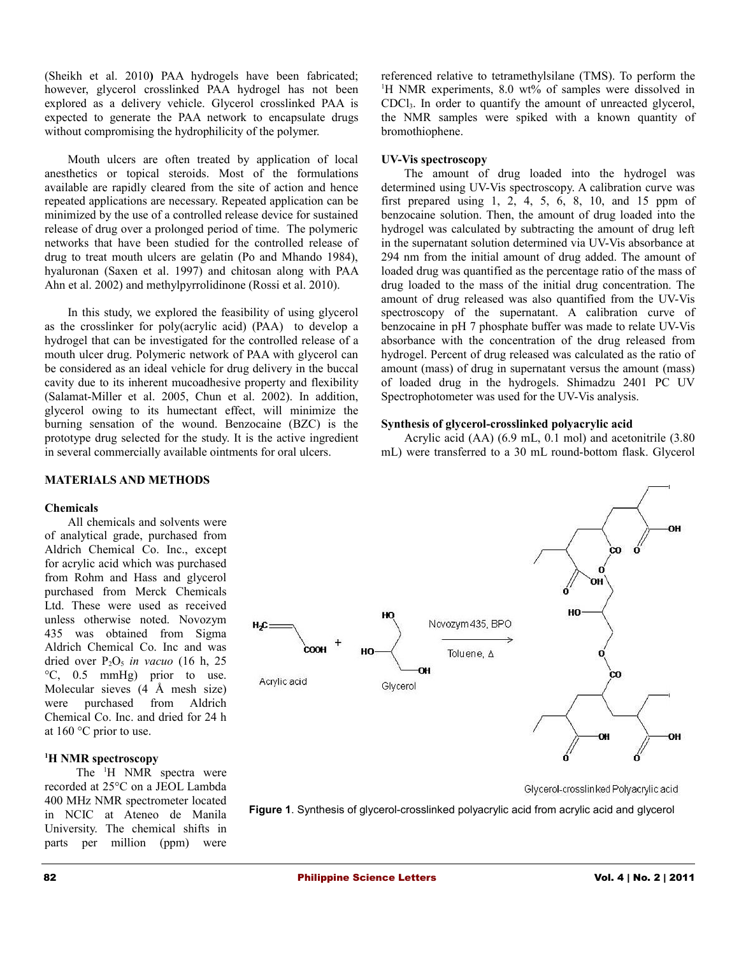(Sheikh et al. 2010**)** PAA hydrogels have been fabricated; however, glycerol crosslinked PAA hydrogel has not been explored as a delivery vehicle. Glycerol crosslinked PAA is expected to generate the PAA network to encapsulate drugs without compromising the hydrophilicity of the polymer.

Mouth ulcers are often treated by application of local anesthetics or topical steroids. Most of the formulations available are rapidly cleared from the site of action and hence repeated applications are necessary. Repeated application can be minimized by the use of a controlled release device for sustained release of drug over a prolonged period of time. The polymeric networks that have been studied for the controlled release of drug to treat mouth ulcers are gelatin (Po and Mhando 1984), hyaluronan (Saxen et al. 1997) and chitosan along with PAA Ahn et al. 2002) and methylpyrrolidinone (Rossi et al. 2010).

In this study, we explored the feasibility of using glycerol as the crosslinker for poly(acrylic acid) (PAA) to develop a hydrogel that can be investigated for the controlled release of a mouth ulcer drug. Polymeric network of PAA with glycerol can be considered as an ideal vehicle for drug delivery in the buccal cavity due to its inherent mucoadhesive property and flexibility (Salamat-Miller et al. 2005, Chun et al. 2002). In addition, glycerol owing to its humectant effect, will minimize the burning sensation of the wound. Benzocaine (BZC) is the prototype drug selected for the study. It is the active ingredient in several commercially available ointments for oral ulcers.

referenced relative to tetramethylsilane (TMS). To perform the <sup>1</sup>H NMR experiments, 8.0 wt% of samples were dissolved in CDCl3. In order to quantify the amount of unreacted glycerol, the NMR samples were spiked with a known quantity of bromothiophene.

#### **UV-Vis spectroscopy**

The amount of drug loaded into the hydrogel was determined using UV-Vis spectroscopy. A calibration curve was first prepared using  $1, 2, 4, 5, 6, 8, 10,$  and  $15$  ppm of benzocaine solution. Then, the amount of drug loaded into the hydrogel was calculated by subtracting the amount of drug left in the supernatant solution determined via UV-Vis absorbance at 294 nm from the initial amount of drug added. The amount of loaded drug was quantified as the percentage ratio of the mass of drug loaded to the mass of the initial drug concentration. The amount of drug released was also quantified from the UV-Vis spectroscopy of the supernatant. A calibration curve of benzocaine in pH 7 phosphate buffer was made to relate UV-Vis absorbance with the concentration of the drug released from hydrogel. Percent of drug released was calculated as the ratio of amount (mass) of drug in supernatant versus the amount (mass) of loaded drug in the hydrogels. Shimadzu 2401 PC UV Spectrophotometer was used for the UV-Vis analysis.

#### **Synthesis of glycerol-crosslinked polyacrylic acid**

Acrylic acid (AA) (6.9 mL, 0.1 mol) and acetonitrile (3.80 mL) were transferred to a 30 mL round-bottom flask. Glycerol

# **MATERIALS AND METHODS**

#### **Chemicals**

All chemicals and solvents were of analytical grade, purchased from Aldrich Chemical Co. Inc., except for acrylic acid which was purchased from Rohm and Hass and glycerol purchased from Merck Chemicals Ltd. These were used as received unless otherwise noted. Novozym 435 was obtained from Sigma Aldrich Chemical Co. Inc and was dried over  $P_2O_5$  *in vacuo* (16 h, 25) °C, 0.5 mmHg) prior to use. Molecular sieves (4 Å mesh size) were purchased from Aldrich Chemical Co. Inc. and dried for 24 h at 160 °C prior to use.

#### **<sup>1</sup>H NMR spectroscopy**

The <sup>1</sup>H NMR spectra were recorded at 25°C on a JEOL Lambda 400 MHz NMR spectrometer located in NCIC at Ateneo de Manila University. The chemical shifts in parts per million (ppm) were



Glycerol-crosslinked Polyacrylic acid

**Figure 1**. Synthesis of glycerol-crosslinked polyacrylic acid from acrylic acid and glycerol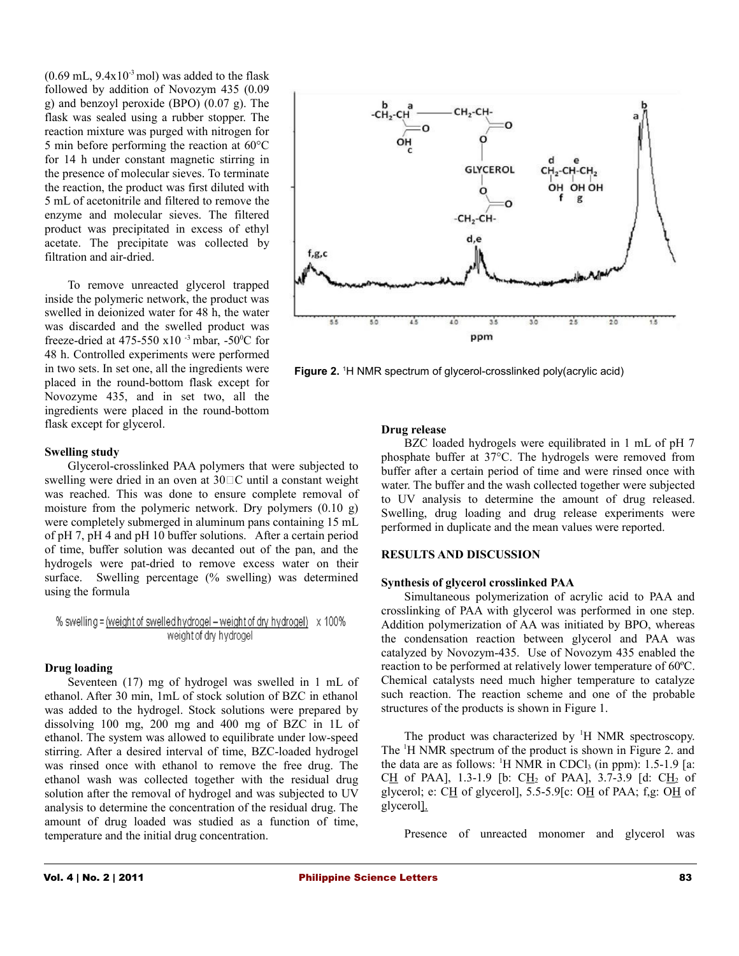$(0.69 \text{ mL}, 9.4 \text{x} 10^{-3} \text{ mol})$  was added to the flask followed by addition of Novozym 435 (0.09 g) and benzoyl peroxide (BPO) (0.07 g). The flask was sealed using a rubber stopper. The reaction mixture was purged with nitrogen for 5 min before performing the reaction at 60°C for 14 h under constant magnetic stirring in the presence of molecular sieves. To terminate the reaction, the product was first diluted with 5 mL of acetonitrile and filtered to remove the enzyme and molecular sieves. The filtered product was precipitated in excess of ethyl acetate. The precipitate was collected by filtration and air-dried.

To remove unreacted glycerol trapped inside the polymeric network, the product was swelled in deionized water for 48 h, the water was discarded and the swelled product was freeze-dried at 475-550 x10 $^{-3}$  mbar, -50 $^{\circ}$ C for 48 h. Controlled experiments were performed in two sets. In set one, all the ingredients were placed in the round-bottom flask except for Novozyme 435, and in set two, all the ingredients were placed in the round-bottom flask except for glycerol.

#### **Swelling study**

Glycerol-crosslinked PAA polymers that were subjected to swelling were dried in an oven at  $30\degree\text{C}$  until a constant weight was reached. This was done to ensure complete removal of moisture from the polymeric network. Dry polymers (0.10 g) were completely submerged in aluminum pans containing 15 mL of pH 7, pH 4 and pH 10 buffer solutions. After a certain period of time, buffer solution was decanted out of the pan, and the hydrogels were pat-dried to remove excess water on their surface. Swelling percentage (% swelling) was determined using the formula

#### **Drug loading**

Seventeen (17) mg of hydrogel was swelled in 1 mL of ethanol. After 30 min, 1mL of stock solution of BZC in ethanol was added to the hydrogel. Stock solutions were prepared by dissolving 100 mg, 200 mg and 400 mg of BZC in 1L of ethanol. The system was allowed to equilibrate under low-speed stirring. After a desired interval of time, BZC-loaded hydrogel was rinsed once with ethanol to remove the free drug. The ethanol wash was collected together with the residual drug solution after the removal of hydrogel and was subjected to UV analysis to determine the concentration of the residual drug. The amount of drug loaded was studied as a function of time, temperature and the initial drug concentration.



Figure 2. <sup>1</sup>H NMR spectrum of glycerol-crosslinked poly(acrylic acid)

#### **Drug release**

BZC loaded hydrogels were equilibrated in 1 mL of pH 7 phosphate buffer at 37°C. The hydrogels were removed from buffer after a certain period of time and were rinsed once with water. The buffer and the wash collected together were subjected to UV analysis to determine the amount of drug released. Swelling, drug loading and drug release experiments were performed in duplicate and the mean values were reported.

#### **RESULTS AND DISCUSSION**

#### **Synthesis of glycerol crosslinked PAA**

Simultaneous polymerization of acrylic acid to PAA and crosslinking of PAA with glycerol was performed in one step. Addition polymerization of AA was initiated by BPO, whereas the condensation reaction between glycerol and PAA was catalyzed by Novozym-435. Use of Novozym 435 enabled the reaction to be performed at relatively lower temperature of 60ºC. Chemical catalysts need much higher temperature to catalyze such reaction. The reaction scheme and one of the probable structures of the products is shown in Figure 1.

The product was characterized by  $H$  NMR spectroscopy. The <sup>1</sup>H NMR spectrum of the product is shown in Figure 2. and the data are as follows:  $\frac{1}{1}$  NMR in CDCl<sub>3</sub> (in ppm): 1.5-1.9 [a: CH of PAA], 1.3-1.9 [b: CH<sub>2</sub> of PAA], 3.7-3.9 [d: CH<sub>2</sub> of glycerol; e: CH of glycerol], 5.5-5.9[c: OH of PAA; f,g: OH of glycerol].

Presence of unreacted monomer and glycerol was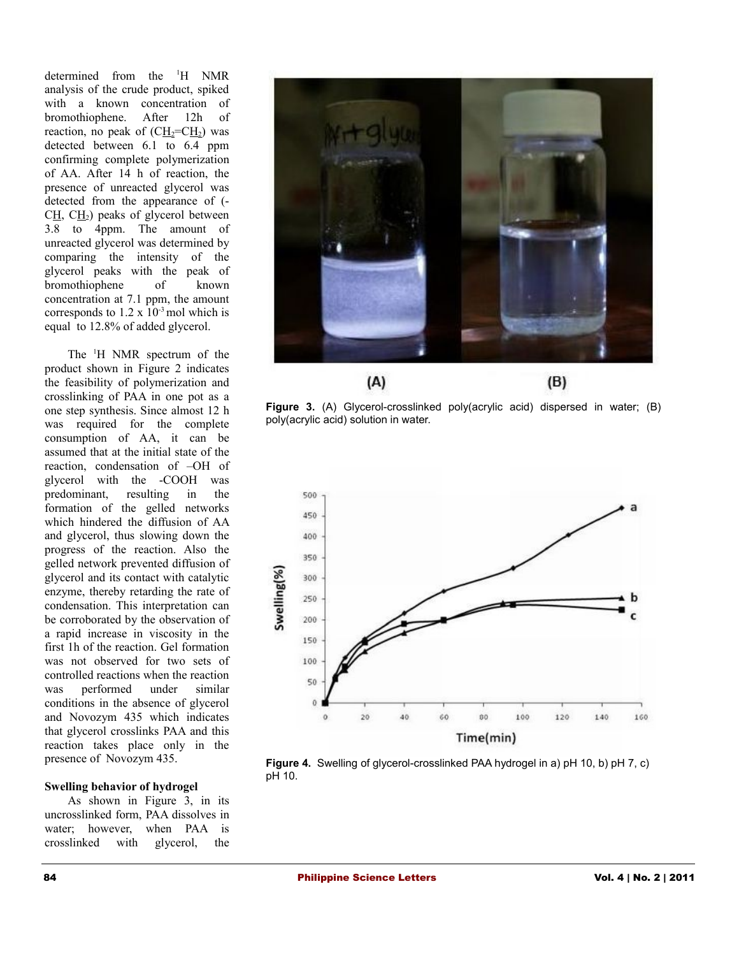determined from the <sup>1</sup>H NMR analysis of the crude product, spiked with a known concentration of bromothiophene. After 12h of reaction, no peak of  $(C\underline{H_2} = C\underline{H_2})$  was detected between 6.1 to 6.4 ppm confirming complete polymerization of AA. After 14 h of reaction, the presence of unreacted glycerol was detected from the appearance of (-  $CH, CH<sub>2</sub>$ ) peaks of glycerol between 3.8 to 4ppm. The amount of unreacted glycerol was determined by comparing the intensity of the glycerol peaks with the peak of bromothiophene of known concentration at 7.1 ppm, the amount corresponds to  $1.2 \times 10^{-3}$  mol which is equal to 12.8% of added glycerol.

The <sup>1</sup>H NMR spectrum of the product shown in Figure 2 indicates the feasibility of polymerization and crosslinking of PAA in one pot as a one step synthesis. Since almost 12 h was required for the complete consumption of AA, it can be assumed that at the initial state of the reaction, condensation of –OH of glycerol with the -COOH was predominant, resulting in the formation of the gelled networks which hindered the diffusion of AA and glycerol, thus slowing down the progress of the reaction. Also the gelled network prevented diffusion of glycerol and its contact with catalytic enzyme, thereby retarding the rate of condensation. This interpretation can be corroborated by the observation of a rapid increase in viscosity in the first 1h of the reaction. Gel formation was not observed for two sets of controlled reactions when the reaction was performed under similar conditions in the absence of glycerol and Novozym 435 which indicates that glycerol crosslinks PAA and this reaction takes place only in the presence of Novozym 435.

#### **Swelling behavior of hydrogel**

As shown in Figure 3, in its uncrosslinked form, PAA dissolves in water; however, when PAA is crosslinked with glycerol, the



**Figure 3.** (A) Glycerol-crosslinked poly(acrylic acid) dispersed in water; (B) poly(acrylic acid) solution in water.



**Figure 4.** Swelling of glycerol-crosslinked PAA hydrogel in a) pH 10, b) pH 7, c) pH 10.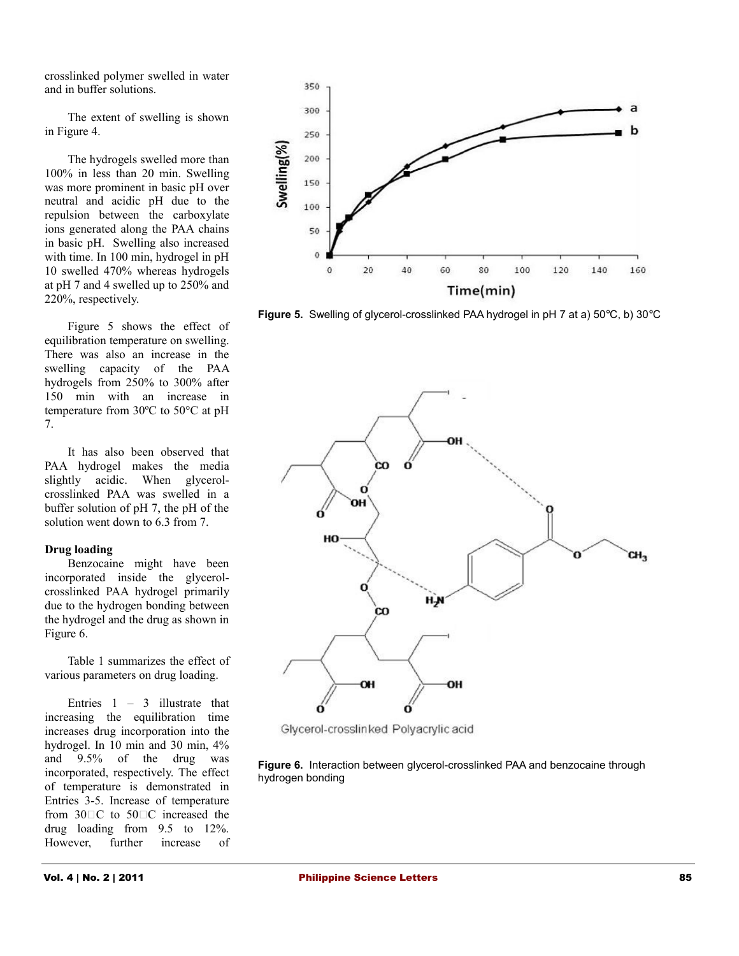crosslinked polymer swelled in water and in buffer solutions.

The extent of swelling is shown in Figure 4.

The hydrogels swelled more than 100% in less than 20 min. Swelling was more prominent in basic pH over neutral and acidic pH due to the repulsion between the carboxylate ions generated along the PAA chains in basic pH. Swelling also increased with time. In 100 min, hydrogel in pH 10 swelled 470% whereas hydrogels at pH 7 and 4 swelled up to 250% and 220%, respectively.

Figure 5 shows the effect of equilibration temperature on swelling. There was also an increase in the swelling capacity of the PAA hydrogels from 250% to 300% after 150 min with an increase in temperature from 30ºC to 50°C at pH 7.

It has also been observed that PAA hydrogel makes the media slightly acidic. When glycerolcrosslinked PAA was swelled in a buffer solution of pH 7, the pH of the solution went down to 6.3 from 7.

## **Drug loading**

Benzocaine might have been incorporated inside the glycerolcrosslinked PAA hydrogel primarily due to the hydrogen bonding between the hydrogel and the drug as shown in Figure 6.

Table 1 summarizes the effect of various parameters on drug loading.

Entries  $1 - 3$  illustrate that increasing the equilibration time increases drug incorporation into the hydrogel. In 10 min and 30 min, 4% and 9.5% of the drug was incorporated, respectively. The effect of temperature is demonstrated in Entries 3-5. Increase of temperature from 30<sup>O</sup>C to 50<sup>O</sup>C increased the drug loading from 9.5 to 12%. However, further increase of



**Figure 5.** Swelling of glycerol-crosslinked PAA hydrogel in pH 7 at a) 50°C, b) 30°C



Glycerol-crosslinked Polyacrylic acid

**Figure 6.** Interaction between glycerol-crosslinked PAA and benzocaine through hydrogen bonding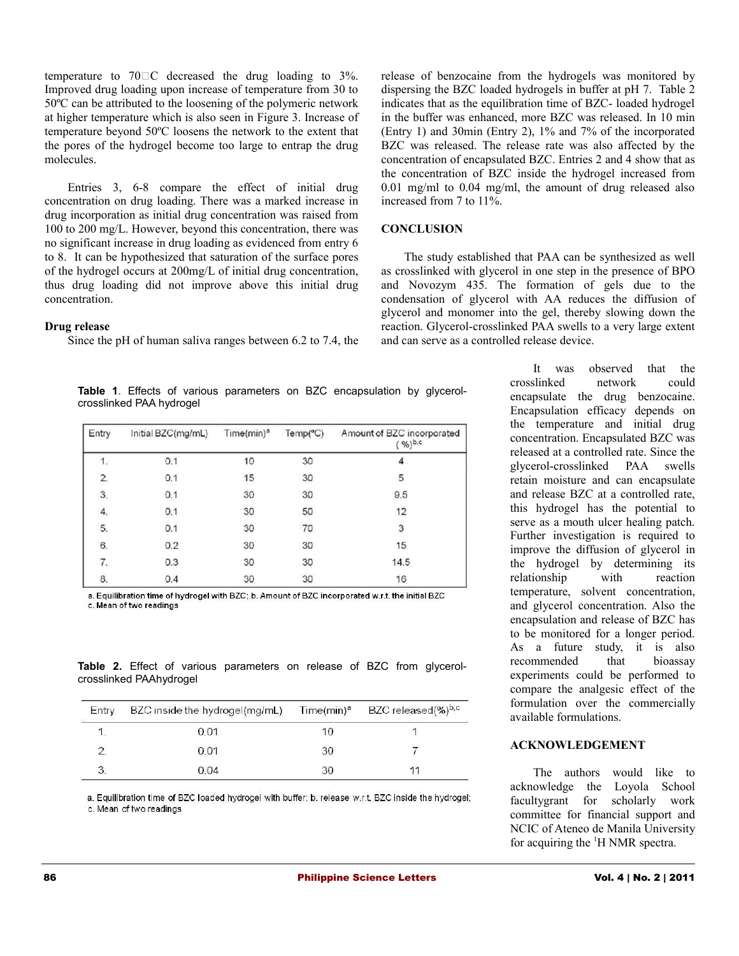temperature to  $70^{\circ}$ C decreased the drug loading to  $3\%$ . Improved drug loading upon increase of temperature from 30 to 50ºC can be attributed to the loosening of the polymeric network at higher temperature which is also seen in Figure 3. Increase of temperature beyond 50ºC loosens the network to the extent that the pores of the hydrogel become too large to entrap the drug molecules.

Entries 3, 6-8 compare the effect of initial drug concentration on drug loading. There was a marked increase in drug incorporation as initial drug concentration was raised from 100 to 200 mg/L. However, beyond this concentration, there was no significant increase in drug loading as evidenced from entry 6 to 8. It can be hypothesized that saturation of the surface pores of the hydrogel occurs at 200mg/L of initial drug concentration, thus drug loading did not improve above this initial drug concentration.

#### **Drug release**

Since the pH of human saliva ranges between 6.2 to 7.4, the

release of benzocaine from the hydrogels was monitored by dispersing the BZC loaded hydrogels in buffer at pH 7. Table 2 indicates that as the equilibration time of BZC- loaded hydrogel in the buffer was enhanced, more BZC was released. In 10 min (Entry 1) and 30min (Entry 2), 1% and 7% of the incorporated BZC was released. The release rate was also affected by the concentration of encapsulated BZC. Entries 2 and 4 show that as the concentration of BZC inside the hydrogel increased from 0.01 mg/ml to 0.04 mg/ml, the amount of drug released also increased from 7 to 11%.

#### **CONCLUSION**

The study established that PAA can be synthesized as well as crosslinked with glycerol in one step in the presence of BPO and Novozym 435. The formation of gels due to the condensation of glycerol with AA reduces the diffusion of glycerol and monomer into the gel, thereby slowing down the reaction. Glycerol-crosslinked PAA swells to a very large extent and can serve as a controlled release device.

**Table 1**. Effects of various parameters on BZC encapsulation by glycerolcrosslinked PAA hydrogel

| Entry | Initial BZC(mg/mL) | Time(min) <sup>a</sup> | Temp(C) | Amount of BZC incorporated<br>$%^{b,c}$ |
|-------|--------------------|------------------------|---------|-----------------------------------------|
| 1.    | 0.1                | 10                     | 30      |                                         |
| 2.    | 0.1                | 15                     | 30      | 5                                       |
| 3.    | 0.1                | 30                     | 30      | 9.5                                     |
| 4.    | 0.1                | 30                     | 50      | 12                                      |
| 5.    | 0.1                | 30                     | 70      | 3                                       |
| 6.    | 0.2                | 30                     | 30      | 15                                      |
| 7.    | 0.3                | 30                     | 30      | 14.5                                    |
| 8.    | 0.4                | 30                     | 30      | 16                                      |

a. Equilibration time of hydrogel with BZC; b. Amount of BZC incorporated w.r.t. the initial BZC c. Mean of two readings

**Table 2.** Effect of various parameters on release of BZC from glycerolcrosslinked PAAhydrogel

| Entry | BZC inside the hydrogel(mg/mL) | Time(min) <sup>a</sup> | BZC released(%) <sup>b,c</sup> |
|-------|--------------------------------|------------------------|--------------------------------|
|       | 0.01                           | 10                     |                                |
|       | 0.01                           | 30                     |                                |
|       | 0.04                           | 30.                    | 11                             |

a. Equilibration time of BZC loaded hydrogel with buffer; b. release w.r.t. BZC inside the hydrogel; c. Mean of two readings

It was observed that the crosslinked network could encapsulate the drug benzocaine. Encapsulation efficacy depends on the temperature and initial drug concentration. Encapsulated BZC was released at a controlled rate. Since the glycerol-crosslinked PAA swells retain moisture and can encapsulate and release BZC at a controlled rate, this hydrogel has the potential to serve as a mouth ulcer healing patch. Further investigation is required to improve the diffusion of glycerol in the hydrogel by determining its relationship with reaction temperature, solvent concentration, and glycerol concentration. Also the encapsulation and release of BZC has to be monitored for a longer period. As a future study, it is also recommended that bioassay experiments could be performed to compare the analgesic effect of the formulation over the commercially available formulations.

#### **ACKNOWLEDGEMENT**

The authors would like to acknowledge the Loyola School facultygrant for scholarly work committee for financial support and NCIC of Ateneo de Manila University for acquiring the <sup>1</sup>H NMR spectra.